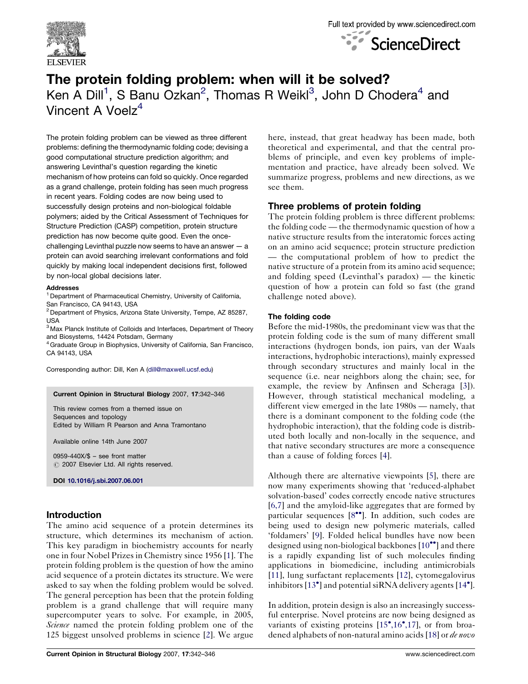





# The protein folding problem: when will it be solved? Ken A Dill<sup>1</sup>, S Banu Ozkan<sup>2</sup>, Thomas R Weikl<sup>3</sup>, John D Chodera<sup>4</sup> and Vincent A Voel $z^4$

The protein folding problem can be viewed as three different problems: defining the thermodynamic folding code; devising a good computational structure prediction algorithm; and answering Levinthal's question regarding the kinetic mechanism of how proteins can fold so quickly. Once regarded as a grand challenge, protein folding has seen much progress in recent years. Folding codes are now being used to successfully design proteins and non-biological foldable polymers; aided by the Critical Assessment of Techniques for Structure Prediction (CASP) competition, protein structure prediction has now become quite good. Even the oncechallenging Levinthal puzzle now seems to have an answer — a protein can avoid searching irrelevant conformations and fold quickly by making local independent decisions first, followed by non-local global decisions later.

#### Addresses

<sup>1</sup> Department of Pharmaceutical Chemistry, University of California, San Francisco, CA 94143, USA

<sup>2</sup> Department of Physics, Arizona State University, Tempe, AZ 85287, USA

<sup>3</sup> Max Planck Institute of Colloids and Interfaces, Department of Theory and Biosystems, 14424 Potsdam, Germany

<sup>4</sup> Graduate Group in Biophysics, University of California, San Francisco, CA 94143, USA

Corresponding author: Dill, Ken A ([dill@maxwell.ucsf.edu](mailto:dill@maxwell.ucsf.edu))

#### Current Opinion in Structural Biology 2007, 17:342–346

This review comes from a themed issue on Sequences and topology Edited by William R Pearson and Anna Tramontano

Available online 14th June 2007

0959-440X/\$ – see front matter  $\oslash$  2007 Elsevier Ltd. All rights reserved.

DOI [10.1016/j.sbi.2007.06.001](http://dx.doi.org/10.1016/j.sbi.2007.06.001)

## Introduction

The amino acid sequence of a protein determines its structure, which determines its mechanism of action. This key paradigm in biochemistry accounts for nearly one in four Nobel Prizes in Chemistry since 1956 [[1\]](#page-2-0). The protein folding problem is the question of how the amino acid sequence of a protein dictates its structure. We were asked to say when the folding problem would be solved. The general perception has been that the protein folding problem is a grand challenge that will require many supercomputer years to solve. For example, in 2005, Science named the protein folding problem one of the 125 biggest unsolved problems in science [[2](#page-2-0)]. We argue

here, instead, that great headway has been made, both theoretical and experimental, and that the central problems of principle, and even key problems of implementation and practice, have already been solved. We summarize progress, problems and new directions, as we see them.

## Three problems of protein folding

The protein folding problem is three different problems: the folding code — the thermodynamic question of how a native structure results from the interatomic forces acting on an amino acid sequence; protein structure prediction — the computational problem of how to predict the native structure of a protein from its amino acid sequence; and folding speed (Levinthal's paradox) — the kinetic question of how a protein can fold so fast (the grand challenge noted above).

### The folding code

Before the mid-1980s, the predominant view was that the protein folding code is the sum of many different small interactions (hydrogen bonds, ion pairs, van der Waals interactions, hydrophobic interactions), mainly expressed through secondary structures and mainly local in the sequence (i.e. near neighbors along the chain; see, for example, the review by Anfinsen and Scheraga [\[3](#page-2-0)]). However, through statistical mechanical modeling, a different view emerged in the late 1980s — namely, that there is a dominant component to the folding code (the hydrophobic interaction), that the folding code is distributed both locally and non-locally in the sequence, and that native secondary structures are more a consequence than a cause of folding forces [\[4](#page-2-0)].

Although there are alternative viewpoints [\[5](#page-2-0)], there are now many experiments showing that 'reduced-alphabet solvation-based' codes correctly encode native structures [\[6,7\]](#page-2-0) and the amyloid-like aggregates that are formed by particular sequences [\[8](#page-3-0)\*\*]. In addition, such codes are being used to design new polymeric materials, called 'foldamers' [[9\]](#page-3-0). Folded helical bundles have now been designed using non-biological backbones [[10](#page-3-0)<sup>\*</sup>] and there is a rapidly expanding list of such molecules finding applications in biomedicine, including antimicrobials [\[11](#page-3-0)], lung surfactant replacements [\[12](#page-3-0)], cytomegalovirus inhibitors [[13](#page-3-0)<sup>°</sup>] and potential siRNA delivery agents [[14](#page-3-0)<sup>°</sup>].

In addition, protein design is also an increasingly successful enterprise. Novel proteins are now being designed as variants of existing proteins [\[15](#page-3-0)°[,16](#page-3-0)°[,17\]](#page-3-0), or from broa-dened alphabets of non-natural amino acids [[18\]](#page-3-0) or *de novo*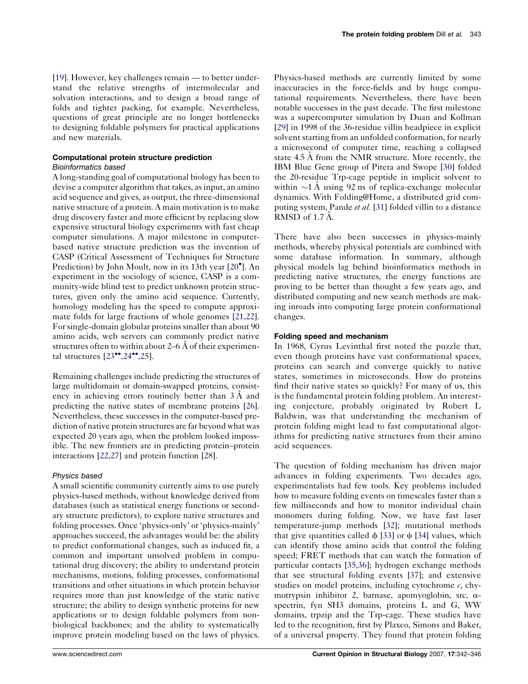[\[19](#page-3-0)]. However, key challenges remain — to better understand the relative strengths of intermolecular and solvation interactions, and to design a broad range of folds and tighter packing, for example. Nevertheless, questions of great principle are no longer bottlenecks to designing foldable polymers for practical applications and new materials.

## Computational protein structure prediction

## Bioinformatics based

A long-standing goal of computational biology has been to devise a computer algorithm that takes, as input, an amino acid sequence and gives, as output, the three-dimensional native structure of a protein. A main motivation is to make drug discovery faster and more efficient by replacing slow expensive structural biology experiments with fast cheap computer simulations. A major milestone in computerbased native structure prediction was the invention of CASP (Critical Assessment of Techniques for Structure Prediction) by John Moult, now in its 13th year [[20](#page-3-0)<sup>°</sup>]. An experiment in the sociology of science, CASP is a community-wide blind test to predict unknown protein structures, given only the amino acid sequence. Currently, homology modeling has the speed to compute approximate folds for large fractions of whole genomes [[21,22](#page-3-0)]. For single-domain globular proteins smaller than about 90 amino acids, web servers can commonly predict native structures often to within about  $2-6$  Å of their experimental structures  $[23^{\bullet\bullet}, 24^{\bullet\bullet}, 25]$  $[23^{\bullet\bullet}, 24^{\bullet\bullet}, 25]$  $[23^{\bullet\bullet}, 24^{\bullet\bullet}, 25]$ .

Remaining challenges include predicting the structures of large multidomain or domain-swapped proteins, consistency in achieving errors routinely better than  $3\overline{A}$  and predicting the native states of membrane proteins [[26](#page-3-0)]. Nevertheless, these successes in the computer-based prediction of native protein structures are far beyond what was expected 20 years ago, when the problem looked impossible. The new frontiers are in predicting protein–protein interactions [[22,27](#page-3-0)] and protein function [[28\]](#page-3-0).

## Physics based

A small scientific community currently aims to use purely physics-based methods, without knowledge derived from databases (such as statistical energy functions or secondary structure predictors), to explore native structures and folding processes. Once 'physics-only' or 'physics-mainly' approaches succeed, the advantages would be: the ability to predict conformational changes, such as induced fit, a common and important unsolved problem in computational drug discovery; the ability to understand protein mechanisms, motions, folding processes, conformational transitions and other situations in which protein behavior requires more than just knowledge of the static native structure; the ability to design synthetic proteins for new applications or to design foldable polymers from nonbiological backbones; and the ability to systematically improve protein modeling based on the laws of physics. Physics-based methods are currently limited by some inaccuracies in the force-fields and by huge computational requirements. Nevertheless, there have been notable successes in the past decade. The first milestone was a supercomputer simulation by Duan and Kollman [[29](#page-3-0)] in 1998 of the 36-residue villin headpiece in explicit solvent starting from an unfolded conformation, for nearly a microsecond of computer time, reaching a collapsed state 4.5 Å from the NMR structure. More recently, the IBM Blue Gene group of Pitera and Swope [\[30](#page-3-0)] folded the 20-residue Trp-cage peptide in implicit solvent to within  $\sim$ 1 A using 92 ns of replica-exchange molecular dynamics. With Folding@Home, a distributed grid com-puting system, Pande et al. [\[31](#page-3-0)] folded villin to a distance RMSD of  $1.7 \text{ Å}$ .

There have also been successes in physics-mainly methods, whereby physical potentials are combined with some database information. In summary, although physical models lag behind bioinformatics methods in predicting native structures, the energy functions are proving to be better than thought a few years ago, and distributed computing and new search methods are making inroads into computing large protein conformational changes.

## Folding speed and mechanism

In 1968, Cyrus Levinthal first noted the puzzle that, even though proteins have vast conformational spaces, proteins can search and converge quickly to native states, sometimes in microseconds. How do proteins find their native states so quickly? For many of us, this is the fundamental protein folding problem. An interesting conjecture, probably originated by Robert L Baldwin, was that understanding the mechanism of protein folding might lead to fast computational algorithms for predicting native structures from their amino acid sequences.

The question of folding mechanism has driven major advances in folding experiments. Two decades ago, experimentalists had few tools. Key problems included how to measure folding events on timescales faster than a few milliseconds and how to monitor individual chain monomers during folding. Now, we have fast laser temperature-jump methods [\[32](#page-3-0)]; mutational methods that give quantities called  $\phi$  [[33\]](#page-3-0) or  $\psi$  [[34\]](#page-3-0) values, which can identify those amino acids that control the folding speed; FRET methods that can watch the formation of particular contacts [\[35,36\]](#page-3-0); hydrogen exchange methods that see structural folding events [\[37](#page-3-0)]; and extensive studies on model proteins, including cytochrome  $c$ , chymotrypsin inhibitor 2, barnase, apomyoglobin, src,  $\alpha$ spectrin, fyn SH3 domains, proteins L and G, WW domains, trpzip and the Trp-cage. These studies have led to the recognition, first by Plaxco, Simons and Baker, of a universal property. They found that protein folding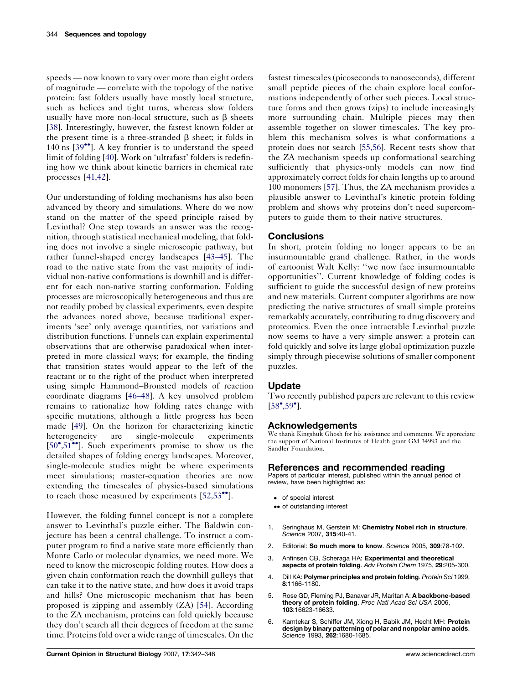<span id="page-2-0"></span>speeds — now known to vary over more than eight orders of magnitude — correlate with the topology of the native protein: fast folders usually have mostly local structure, such as helices and tight turns, whereas slow folders usually have more non-local structure, such as  $\beta$  sheets [\[38](#page-3-0)]. Interestingly, however, the fastest known folder at the present time is a three-stranded  $\beta$  sheet; it folds in 140 ns [[39](#page-3-0)<sup>••</sup>]. A key frontier is to understand the speed limit of folding [\[40](#page-3-0)]. Work on 'ultrafast' folders is redefining how we think about kinetic barriers in chemical rate processes [\[41,42\]](#page-3-0).

Our understanding of folding mechanisms has also been advanced by theory and simulations. Where do we now stand on the matter of the speed principle raised by Levinthal? One step towards an answer was the recognition, through statistical mechanical modeling, that folding does not involve a single microscopic pathway, but rather funnel-shaped energy landscapes [\[43–45](#page-4-0)]. The road to the native state from the vast majority of individual non-native conformations is downhill and is different for each non-native starting conformation. Folding processes are microscopically heterogeneous and thus are not readily probed by classical experiments, even despite the advances noted above, because traditional experiments 'see' only average quantities, not variations and distribution functions. Funnels can explain experimental observations that are otherwise paradoxical when interpreted in more classical ways; for example, the finding that transition states would appear to the left of the reactant or to the right of the product when interpreted using simple Hammond–Bronsted models of reaction coordinate diagrams [[46–48\]](#page-4-0). A key unsolved problem remains to rationalize how folding rates change with specific mutations, although a little progress has been made [\[49](#page-4-0)]. On the horizon for characterizing kinetic heterogeneity are single-molecule experiments [\[50](#page-4-0)°[,51](#page-4-0)<sup>••</sup>]. Such experiments promise to show us the detailed shapes of folding energy landscapes. Moreover, single-molecule studies might be where experiments meet simulations; master-equation theories are now extending the timescales of physics-based simulations to reach those measured by experiments  $[52,53$  $[52,53$ <sup>\*\*</sup>].

However, the folding funnel concept is not a complete answer to Levinthal's puzzle either. The Baldwin conjecture has been a central challenge. To instruct a computer program to find a native state more efficiently than Monte Carlo or molecular dynamics, we need more. We need to know the microscopic folding routes. How does a given chain conformation reach the downhill gulleys that can take it to the native state, and how does it avoid traps and hills? One microscopic mechanism that has been proposed is zipping and assembly (ZA) [[54\]](#page-4-0). According to the ZA mechanism, proteins can fold quickly because they don't search all their degrees of freedom at the same time. Proteins fold over a wide range of timescales. On the

fastest timescales (picoseconds to nanoseconds), different small peptide pieces of the chain explore local conformations independently of other such pieces. Local structure forms and then grows (zips) to include increasingly more surrounding chain. Multiple pieces may then assemble together on slower timescales. The key problem this mechanism solves is what conformations a protein does not search [[55,56](#page-4-0)]. Recent tests show that the ZA mechanism speeds up conformational searching sufficiently that physics-only models can now find approximately correct folds for chain lengths up to around 100 monomers [[57\]](#page-4-0). Thus, the ZA mechanism provides a plausible answer to Levinthal's kinetic protein folding problem and shows why proteins don't need supercomputers to guide them to their native structures.

## **Conclusions**

In short, protein folding no longer appears to be an insurmountable grand challenge. Rather, in the words of cartoonist Walt Kelly: ''we now face insurmountable opportunities''. Current knowledge of folding codes is sufficient to guide the successful design of new proteins and new materials. Current computer algorithms are now predicting the native structures of small simple proteins remarkably accurately, contributing to drug discovery and proteomics. Even the once intractable Levinthal puzzle now seems to have a very simple answer: a protein can fold quickly and solve its large global optimization puzzle simply through piecewise solutions of smaller component puzzles.

### Update

Two recently published papers are relevant to this review  $[58^{\circ}, 59^{\circ}].$  $[58^{\circ}, 59^{\circ}].$ 

#### Acknowledgements

We thank Kingshuk Ghosh for his assistance and comments. We appreciate the support of National Institutes of Health grant GM 34993 and the Sandler Foundation.

#### References and recommended reading

Papers of particular interest, published within the annual period of review, have been highlighted as:

- of special interest
- •• of outstanding interest
- 1. Seringhaus M, Gerstein M: Chemistry Nobel rich in structure. Science 2007, 315:40-41.
- 2. Editorial: So much more to know. Science 2005, 309:78-102.
- 3. Anfinsen CB, Scheraga HA: Experimental and theoretical aspects of protein folding. Adv Protein Chem 1975, 29:205-300.
- 4. Dill KA: Polymer principles and protein folding. Protein Sci 1999, 8:1166-1180.
- 5. Rose GD, Fleming PJ, Banavar JR, Maritan A: A backbone-based theory of protein folding. Proc Natl Acad Sci USA 2006, 103:16623-16633.
- 6. Kamtekar S, Schiffer JM, Xiong H, Babik JM, Hecht MH: Protein design by binary patterning of polar and nonpolar amino acids. Science 1993, 262:1680-1685.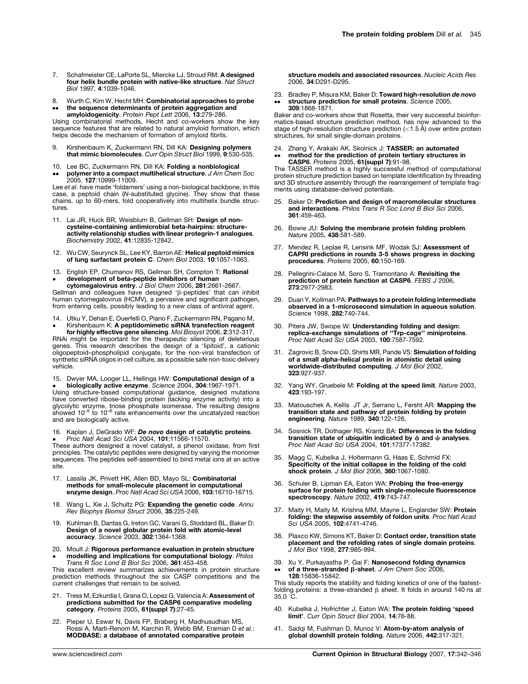- <span id="page-3-0"></span>7. Schafmeister CE, LaPorte SL, Miercke LJ, Stroud RM: A designed four helix bundle protein with native-like structure. Nat Struct Biol 1997, 4:1039-1046.
- 8. Wurth C, Kim W, Hecht MH: Combinatorial approaches to probe the sequence determinants of protein aggregation and
- the sequence determinants of protein aggregation and<br>amyloidogenicity. Protein Pept Lett 2006, 13:279-286.<br>Using combinatorial methods, Hecht and co-workers show the key

sequence features that are related to natural amyloid formation, which helps decode the mechanism of formation of amyloid fibrils.

- 9. Kirshenbaum K, Zuckermann RN, Dill KA: Designing polymers that mimic biomolecules. Curr Opin Struct Biol 1999, 9:530-535.
- 10. Lee BC, Zuckermann RN, Dill KA: Folding a nonbiological
- $\bullet \bullet$ polymer into a compact multihelical structure. J Am Chem Soc 2005, 127:10999-11009.

Lee et al. have made 'foldamers' using a non-biological backbone, in this case, a peptoid chain (N-substituted glycine). They show that these chains, up to 60-mers, fold cooperatively into multihelix bundle structures.

- 11. Lai JR, Huck BR, Weisblum B, Gellman SH: Design of noncysteine-containing antimicrobial beta-hairpins: structureactivity relationship studies with linear protegrin-1 analogues. Biochemistry 2002, 41:12835-12842.
- 12. Wu CW, Seurynck SL, Lee KY, Barron AE: Helical peptoid mimics of lung surfactant protein C. Chem Biol 2003, 10:1057-1063.
- 13. English EP, Chumanov RS, Gellman SH, Compton T: Rational  $\bullet$ development of beta-peptide inhibitors of human

cytomegalovirus entry. J Biol Chem 2006, 281:2661-2667. Gellman and colleagues have designed 'β-peptides' that can inhibit<br>human cytomegalovirus (HCMV), a pervasive and significant pathogen, from entering cells, possibly leading to a new class of antiviral agent.

14. Utku Y, Dehan E, Ouerfelli O, Piano F, Zuckermann RN, Pagano M,  $\bullet$ Kirshenbaum K: A peptidomimetic siRNA transfection reagent

for highly effective gene silencing. Mol Biosyst 2006, 2:312-317. RNAi might be important for the therapeutic silencing of deleterious genes. This research describes the design of a 'lipitoid', a cationic oligopeptoid–phospholipid conjugate, for the non-viral transfection of synthetic siRNA oligos in cell culture, as a possible safe non-toxic delivery vehicle.

15. • biologically active enzyme. Science 2004, 304:1967-1971.<br>Using structure-based computational guidance, designed mutations Dwyer MA, Looger LL, Hellinga HW**: Computational design of a**<br>**biologically active enzyme**. Sc*ience 2*004, **304**:1967-1971.

have converted ribose-binding protein (lacking enzyme activity) into a<br>glycolytic enzyme, triose phosphate isomerase. The resulting designs<br>showed 10<sup>-5</sup> to 10<sup>-6</sup> rate enhancements over the uncatalyzed reaction and are biologically active.

16. Kaplan J, DeGrado WF: De novo design of catalytic proteins.  $\bullet$ Proc Natl Acad Sci USA 2004, 101:11566-11570.

These authors designed a novel catalyst, a phenol oxidase, from first principles. The catalytic peptides were designed by varying the monomer sequences. The peptides self-assembled to bind metal ions at an active site.

- 17. Lassila JK, Privett HK, Allen BD, Mayo SL: Combinatorial methods for small-molecule placement in computational enzyme design. Proc Natl Acad Sci USA 2006, 103:16710-16715.
- 18. Wang L, Xie J, Schultz PG: Expanding the genetic code. Annu Rev Biophys Biomol Struct 2006, 35:225-249.
- 19. Kuhlman B, Dantas G, Ireton GC, Varani G, Stoddard BL, Baker D: Design of a novel globular protein fold with atomic-level accuracy. Science 2003, 302:1364-1368.
- 20. Moult J: Rigorous performance evaluation in protein structure  $\bullet$ modelling and implications for computational biology. Philos Trans R Soc Lond B Biol Sci 2006, 361:453-458.

This excellent review summarizes achievements in protein structure prediction methods throughout the six CASP competitions and the current challenges that remain to be solved.

- 21. Tress M, Ezkurdia I, Grana O, Lopez G, Valencia A: Assessment of predictions submitted for the CASP6 comparative modeling category. Proteins 2005, 61(suppl 7):27-45.
- 22. Pieper U, Eswar N, Davis FP, Braberg H, Madhusudhan MS, Rossi A, Marti-Renom M, Karchin R, Webb BM, Eramian D et al.: MODBASE: a database of annotated comparative protein

structure models and associated resources. Nucleic Acids Res 2006, 34:D291-D295.

23. Bradley P, Misura KM, Baker D: Toward high-resolution de novo -structure prediction for small proteins. Science 2005, 309:1868-1871.

Baker and co-workers show that Rosetta, their very successful bioinformatics-based structure prediction method, has now advanced to the stage of high-resolution structure prediction  $\left($ <1.5 Å) over entire protein structures, for small single-domain proteins.

24. Zhang Y, Arakaki AK, Skolnick J: TASSER: an automated  $\bullet$ method for the prediction of protein tertiary structures in CASP6. Proteins 2005, 61(suppl 7):91-98.

The TASSER method is a highly successful method of computational protein structure prediction based on template identification by threading and 3D structure assembly through the rearrangement of template fragments using database-derived potentials.

- 25. Baker D: Prediction and design of macromolecular structures and interactions. Philos Trans R Soc Lond B Biol Sci 2006, 361:459-463.
- 26. Bowie JU: Solving the membrane protein folding problem. Nature 2005, 438:581-589.
- 27. Mendez R, Leplae R, Lensink MF, Wodak SJ: Assessment of CAPRI predictions in rounds 3-5 shows progress in docking procedures. Proteins 2005, 60:150-169.
- 28. Pellegrini-Calace M, Soro S, Tramontano A: Revisiting the prediction of protein function at CASP6. FEBS J 2006, 273:2977-2983.
- 29. Duan Y, Kollman PA: Pathways to a protein folding intermediate observed in a 1-microsecond simulation in aqueous solution. Science 1998, 282:740-744.
- 30. Pitera JW, Swope W: Understanding folding and design: replica-exchange simulations of ''Trp-cage'' miniproteins. Proc Natl Acad Sci USA 2003, 100:7587-7592.
- 31. Zagrovic B, Snow CD, Shirts MR, Pande VS: Simulation of folding of a small alpha-helical protein in atomistic detail using worldwide-distributed computing. J Mol Biol 2002, 323:927-937.
- 32. Yang WY, Gruebele M: **Folding at the speed limit**. *Nature* 2003,<br>**423**:193-197.
- 33. Matouschek A, Kellis JT Jr, Serrano L, Fersht AR: Mapping the transition state and pathway of protein folding by protein engineering. Nature 1989, 340:122-126.
- 34. Sosnick TR, Dothager RS, Krantz BA: Differences in the folding transition state of ubiquitin indicated by φ and ψ analyses.<br>Proc Natl Acad Sci USA 2004, 101:17377-17382.
- 35. Magg C, Kubelka J, Holtermann G, Haas E, Schmid FX: Specificity of the initial collapse in the folding of the cold shock protein. J Mol Biol 2006, 360:1067-1080.
- 36. Schuler B, Lipman EA, Eaton WA: Probing the free-energy surface for protein folding with single-molecule fluorescence spectroscopy. Nature 2002, 419:743-747.
- 37. Maity H, Maity M, Krishna MM, Mayne L, Englander SW: Protein folding: the stepwise assembly of foldon units. Proc Natl Acad Sci USA 2005, 102:4741-4746.
- 38. Plaxco KW, Simons KT, Baker D: Contact order, transition state placement and the refolding rates of single domain proteins. J Mol Biol 1998, 277:985-994.
- 39. Xu Y, Purkayastha P, Gai F: Nanosecond folding dynamics -of a three-stranded  $\beta$ -sheet. J Am Chem Soc 2006, 128:15836-15842.

This study reports the stability and folding kinetics of one of the fastestfolding proteins: a three-stranded  $\beta$  sheet. It folds in around 140 ns at  $35.0 °C$ 

- 40. Kubelka J, Hofrichter J, Eaton WA: The protein folding 'speed limit'. Curr Opin Struct Biol 2004, 14:76-88.
- 41. Sadqi M, Fushman D, Munoz V: Atom-by-atom analysis of global downhill protein folding. Nature 2006, 442:317-321.